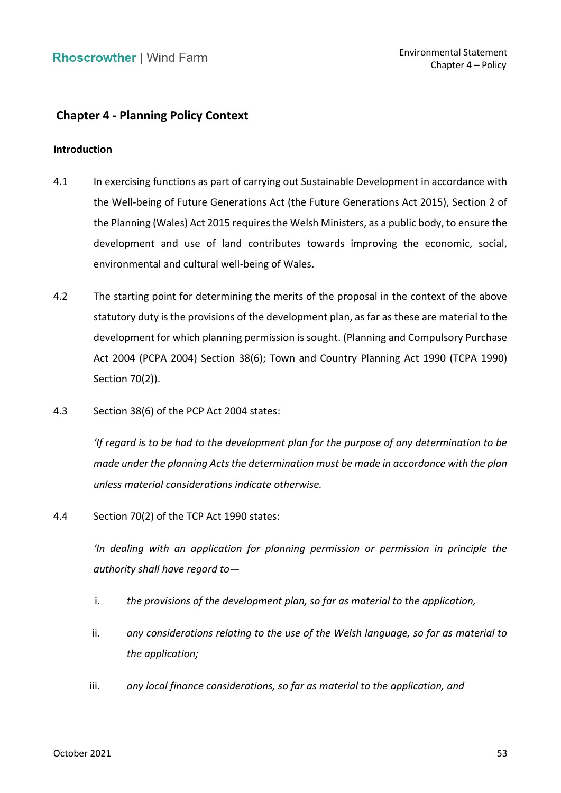# **Chapter 4 - Planning Policy Context**

### **Introduction**

- 4.1 In exercising functions as part of carrying out Sustainable Development in accordance with the Well-being of Future Generations Act (the Future Generations Act 2015), Section 2 of the Planning (Wales) Act 2015 requires the Welsh Ministers, as a public body, to ensure the development and use of land contributes towards improving the economic, social, environmental and cultural well-being of Wales.
- 4.2 The starting point for determining the merits of the proposal in the context of the above statutory duty is the provisions of the development plan, as far as these are material to the development for which planning permission is sought. (Planning and Compulsory Purchase Act 2004 (PCPA 2004) Section 38(6); Town and Country Planning Act 1990 (TCPA 1990) Section 70(2)).
- 4.3 Section 38(6) of the PCP Act 2004 states:

 *'If regard is to be had to the development plan for the purpose of any determination to be made under the planning Acts the determination must be made in accordance with the plan unless material considerations indicate otherwise.* 

4.4 Section 70(2) of the TCP Act 1990 states:

 *'In dealing with an application for planning permission or permission in principle the authority shall have regard to—*

- i. *the provisions of the development plan, so far as material to the application,*
- ii. *any considerations relating to the use of the Welsh language, so far as material to the application;*
- iii. *any local finance considerations, so far as material to the application, and*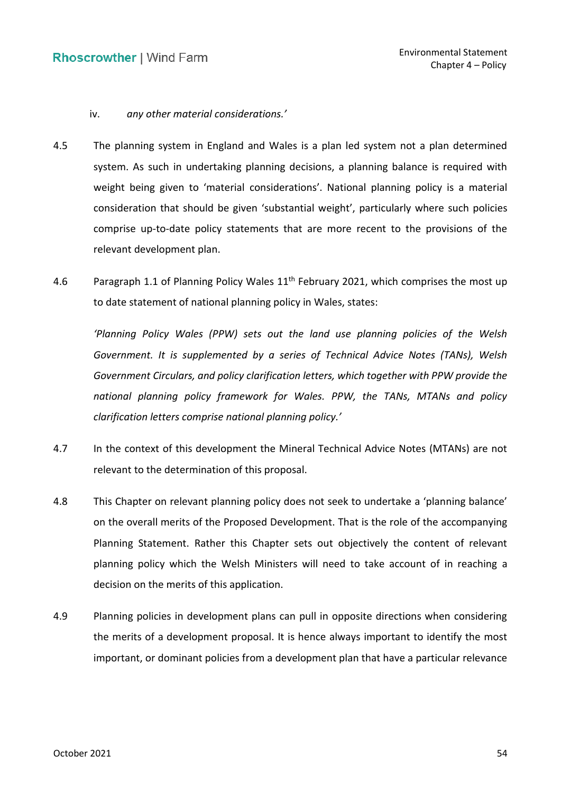### iv. *any other material considerations.'*

- 4.5 The planning system in England and Wales is a plan led system not a plan determined system. As such in undertaking planning decisions, a planning balance is required with weight being given to 'material considerations'. National planning policy is a material consideration that should be given 'substantial weight', particularly where such policies comprise up-to-date policy statements that are more recent to the provisions of the relevant development plan.
- 4.6 Paragraph 1.1 of Planning Policy Wales  $11<sup>th</sup>$  February 2021, which comprises the most up to date statement of national planning policy in Wales, states:

 *'Planning Policy Wales (PPW) sets out the land use planning policies of the Welsh Government. It is supplemented by a series of Technical Advice Notes (TANs), Welsh Government Circulars, and policy clarification letters, which together with PPW provide the national planning policy framework for Wales. PPW, the TANs, MTANs and policy clarification letters comprise national planning policy.'*

- 4.7 In the context of this development the Mineral Technical Advice Notes (MTANs) are not relevant to the determination of this proposal.
- 4.8 This Chapter on relevant planning policy does not seek to undertake a 'planning balance' on the overall merits of the Proposed Development. That is the role of the accompanying Planning Statement. Rather this Chapter sets out objectively the content of relevant planning policy which the Welsh Ministers will need to take account of in reaching a decision on the merits of this application.
- 4.9 Planning policies in development plans can pull in opposite directions when considering the merits of a development proposal. It is hence always important to identify the most important, or dominant policies from a development plan that have a particular relevance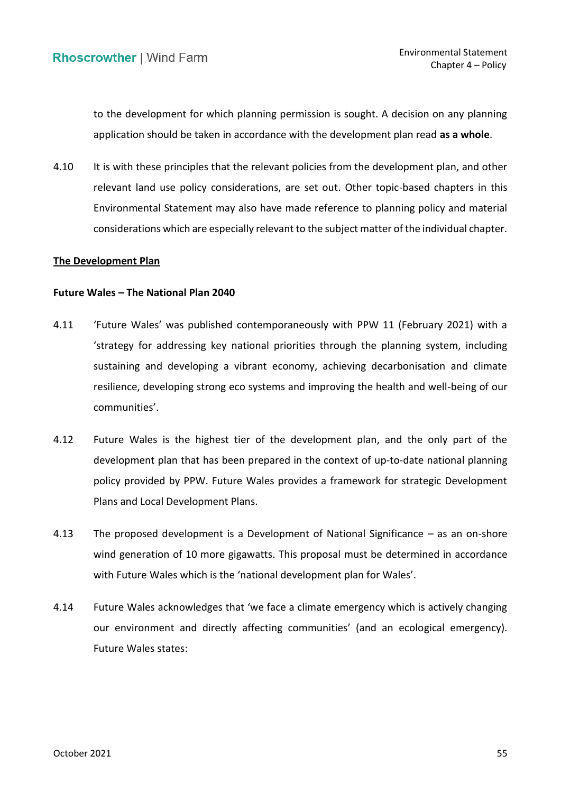to the development for which planning permission is sought. A decision on any planning application should be taken in accordance with the development plan read **as a whole**.

4.10 It is with these principles that the relevant policies from the development plan, and other relevant land use policy considerations, are set out. Other topic-based chapters in this Environmental Statement may also have made reference to planning policy and material considerations which are especially relevant to the subject matter of the individual chapter.

### **The Development Plan**

### **Future Wales – The National Plan 2040**

- 4.11 'Future Wales' was published contemporaneously with PPW 11 (February 2021) with a 'strategy for addressing key national priorities through the planning system, including sustaining and developing a vibrant economy, achieving decarbonisation and climate resilience, developing strong eco systems and improving the health and well-being of our communities'.
- 4.12 Future Wales is the highest tier of the development plan, and the only part of the development plan that has been prepared in the context of up-to-date national planning policy provided by PPW. Future Wales provides a framework for strategic Development Plans and Local Development Plans.
- 4.13 The proposed development is a Development of National Significance as an on-shore wind generation of 10 more gigawatts. This proposal must be determined in accordance with Future Wales which is the 'national development plan for Wales'.
- our environment and directly affecting communities' (and an ecological emergency). 4.14 Future Wales acknowledges that 'we face a climate emergency which is actively changing Future Wales states: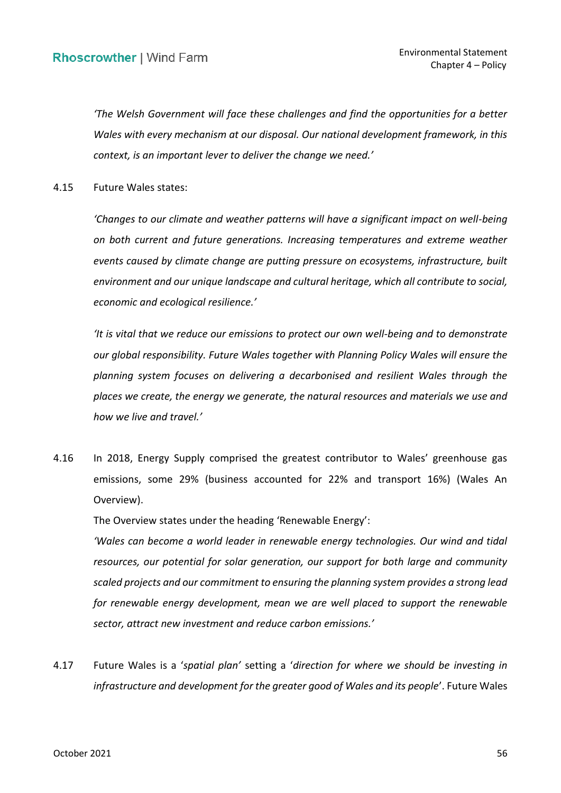*'The Welsh Government will face these challenges and find the opportunities for a better Wales with every mechanism at our disposal. Our national development framework, in this context, is an important lever to deliver the change we need.'*

4.15 Future Wales states:

 *'Changes to our climate and weather patterns will have a significant impact on well-being on both current and future generations. Increasing temperatures and extreme weather events caused by climate change are putting pressure on ecosystems, infrastructure, built environment and our unique landscape and cultural heritage, which all contribute to social, economic and ecological resilience.'*

 *'It is vital that we reduce our emissions to protect our own well-being and to demonstrate our global responsibility. Future Wales together with Planning Policy Wales will ensure the planning system focuses on delivering a decarbonised and resilient Wales through the places we create, the energy we generate, the natural resources and materials we use and how we live and travel.'*

4.16 In 2018, Energy Supply comprised the greatest contributor to Wales' greenhouse gas emissions, some 29% (business accounted for 22% and transport 16%) (Wales An Overview).

The Overview states under the heading 'Renewable Energy':

 *'Wales can become a world leader in renewable energy technologies. Our wind and tidal resources, our potential for solar generation, our support for both large and community scaled projects and our commitment to ensuring the planning system provides a strong lead*  for renewable energy development, mean we are well placed to support the renewable  *sector, attract new investment and reduce carbon emissions.'*

 4.17 Future Wales is a '*spatial plan'* setting a '*direction for where we should be investing in infrastructure and development for the greater good of Wales and its people*'. Future Wales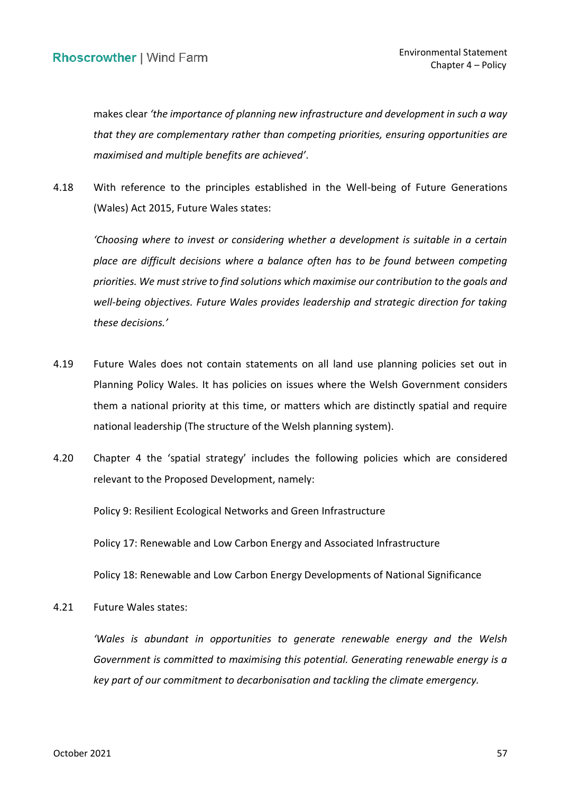makes clear *'the importance of planning new infrastructure and development in such a way that they are complementary rather than competing priorities, ensuring opportunities are maximised and multiple benefits are achieved'*.

 4.18 With reference to the principles established in the Well-being of Future Generations (Wales) Act 2015, Future Wales states:

 *'Choosing where to invest or considering whether a development is suitable in a certain place are difficult decisions where a balance often has to be found between competing priorities. We must strive to find solutions which maximise our contribution to the goals and well-being objectives. Future Wales provides leadership and strategic direction for taking these decisions.'*

- 4.19 Future Wales does not contain statements on all land use planning policies set out in Planning Policy Wales. It has policies on issues where the Welsh Government considers them a national priority at this time, or matters which are distinctly spatial and require national leadership (The structure of the Welsh planning system).
- 4.20 Chapter 4 the 'spatial strategy' includes the following policies which are considered relevant to the Proposed Development, namely:

Policy 9: Resilient Ecological Networks and Green Infrastructure

Policy 17: Renewable and Low Carbon Energy and Associated Infrastructure

Policy 18: Renewable and Low Carbon Energy Developments of National Significance

4.21 Future Wales states:

 *'Wales is abundant in opportunities to generate renewable energy and the Welsh*  Government is committed to maximising this potential. Generating renewable energy is a  *key part of our commitment to decarbonisation and tackling the climate emergency.*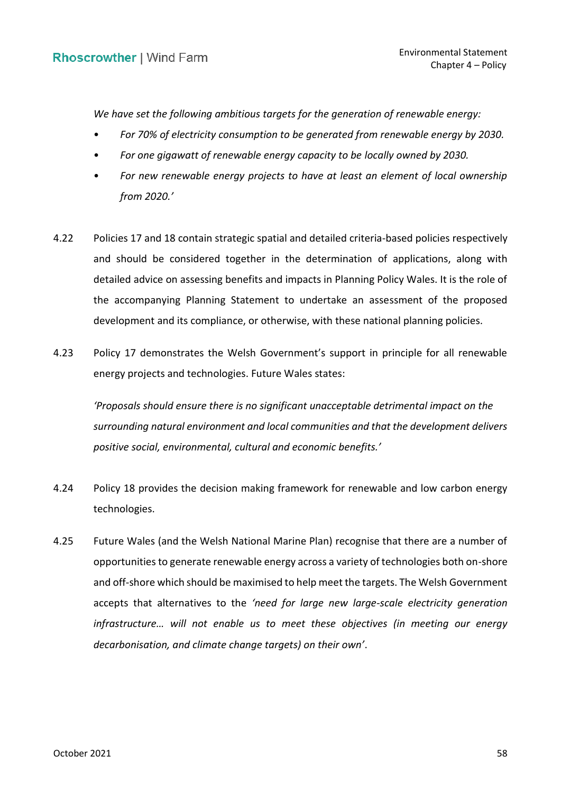*We have set the following ambitious targets for the generation of renewable energy:* 

- *For 70% of electricity consumption to be generated from renewable energy by 2030.*
- *For one gigawatt of renewable energy capacity to be locally owned by 2030.*
- For new renewable energy projects to have at least an element of local ownership *from 2020.'*
- 4.22 Policies 17 and 18 contain strategic spatial and detailed criteria-based policies respectively and should be considered together in the determination of applications, along with detailed advice on assessing benefits and impacts in Planning Policy Wales. It is the role of the accompanying Planning Statement to undertake an assessment of the proposed development and its compliance, or otherwise, with these national planning policies.
- 4.23 Policy 17 demonstrates the Welsh Government's support in principle for all renewable energy projects and technologies. Future Wales states:

 *'Proposals should ensure there is no significant unacceptable detrimental impact on the surrounding natural environment and local communities and that the development delivers positive social, environmental, cultural and economic benefits.'*

- 4.24 Policy 18 provides the decision making framework for renewable and low carbon energy technologies.
- 4.25 Future Wales (and the Welsh National Marine Plan) recognise that there are a number of and off-shore which should be maximised to help meet the targets. The Welsh Government accepts that alternatives to the *'need for large new large-scale electricity generation infrastructure… will not enable us to meet these objectives (in meeting our energy*  opportunities to generate renewable energy across a variety of technologies both on-shore *decarbonisation, and climate change targets) on their own'*.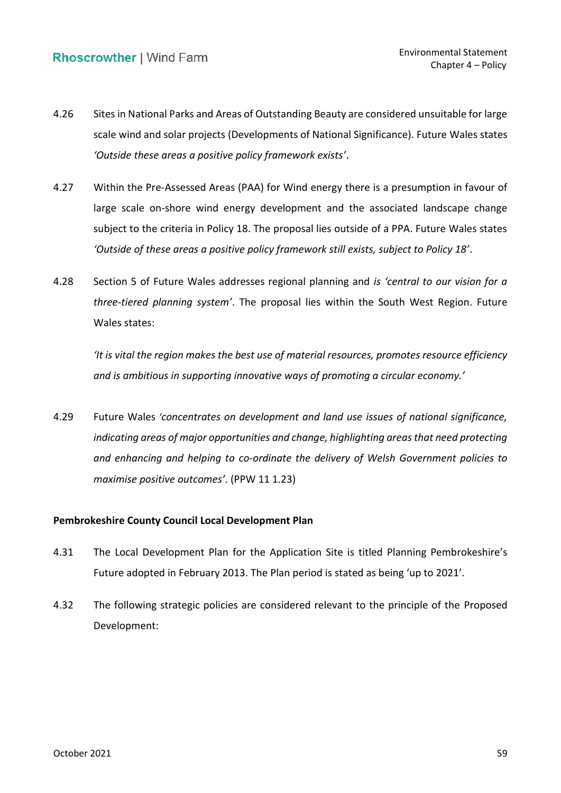- 4.26 Sites in National Parks and Areas of Outstanding Beauty are considered unsuitable for large scale wind and solar projects (Developments of National Significance). Future Wales states  *'Outside these areas a positive policy framework exists'*.
- 4.27 Within the Pre-Assessed Areas (PAA) for Wind energy there is a presumption in favour of large scale on-shore wind energy development and the associated landscape change subject to the criteria in Policy 18. The proposal lies outside of a PPA. Future Wales states  *'Outside of these areas a positive policy framework still exists, subject to Policy 18'*.
- 4.28 Section 5 of Future Wales addresses regional planning and *is 'central to our vision for a three-tiered planning system'*. The proposal lies within the South West Region. Future Wales states:

 *'It is vital the region makes the best use of material resources, promotes resource efficiency and is ambitious in supporting innovative ways of promoting a circular economy.'*

 4.29 Future Wales *'concentrates on development and land use issues of national significance, indicating areas of major opportunities and change, highlighting areas that need protecting and enhancing and helping to co-ordinate the delivery of Welsh Government policies to maximise positive outcomes'*. (PPW 11 1.23)

# **Pembrokeshire County Council Local Development Plan**

- Future adopted in February 2013. The Plan period is stated as being 'up to 2021'. 4.31 The Local Development Plan for the Application Site is titled Planning Pembrokeshire's
- 4.32 The following strategic policies are considered relevant to the principle of the Proposed Development: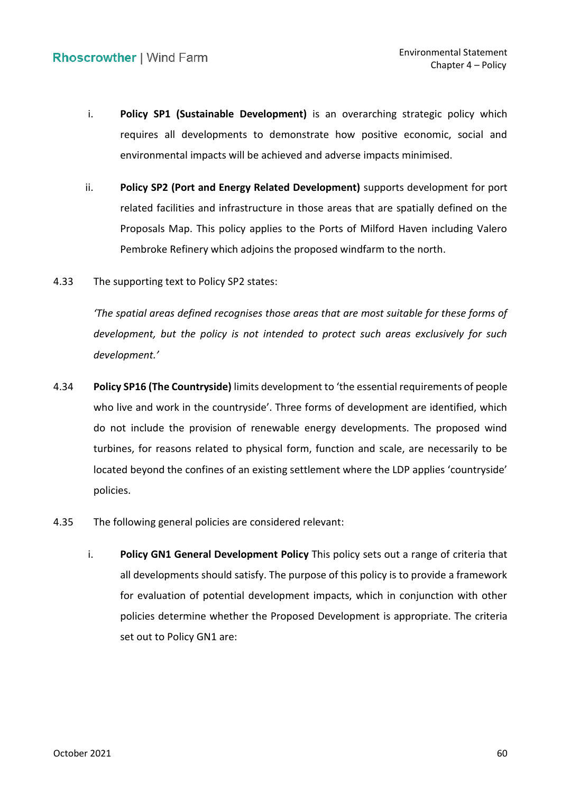- requires all developments to demonstrate how positive economic, social and i. **Policy SP1 (Sustainable Development)** is an overarching strategic policy which environmental impacts will be achieved and adverse impacts minimised.
- ii. **Policy SP2 (Port and Energy Related Development)** supports development for port related facilities and infrastructure in those areas that are spatially defined on the Proposals Map. This policy applies to the Ports of Milford Haven including Valero Pembroke Refinery which adjoins the proposed windfarm to the north.
- 4.33 The supporting text to Policy SP2 states:

 *'The spatial areas defined recognises those areas that are most suitable for these forms of development, but the policy is not intended to protect such areas exclusively for such development.'*

- 4.34 **Policy SP16 (The Countryside)** limits development to 'the essential requirements of people who live and work in the countryside'. Three forms of development are identified, which do not include the provision of renewable energy developments. The proposed wind turbines, for reasons related to physical form, function and scale, are necessarily to be located beyond the confines of an existing settlement where the LDP applies 'countryside' policies.
- 4.35 The following general policies are considered relevant:
	- i. **Policy GN1 General Development Policy** This policy sets out a range of criteria that all developments should satisfy. The purpose of this policy is to provide a framework for evaluation of potential development impacts, which in conjunction with other set out to Policy GN1 are: policies determine whether the Proposed Development is appropriate. The criteria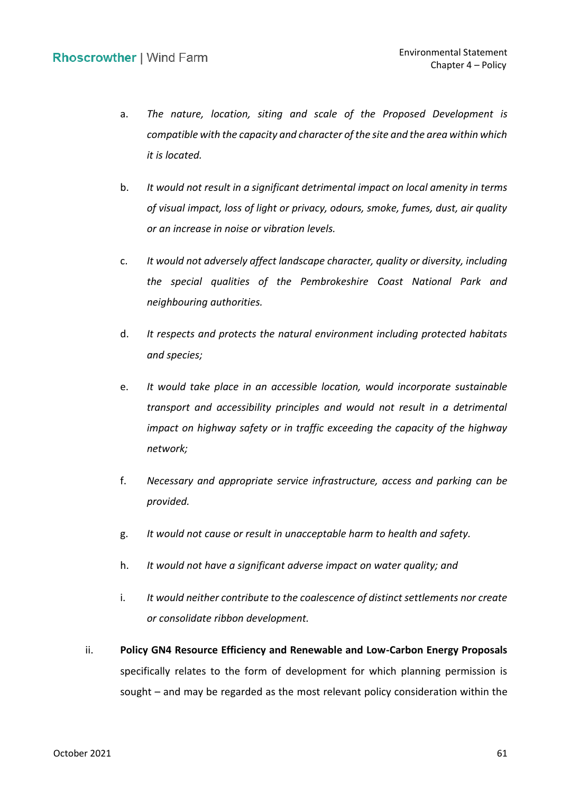- a. The nature, location, siting and scale of the Proposed Development is  *compatible with the capacity and character of the site and the area within which it is located.*
- b. *It would not result in a significant detrimental impact on local amenity in terms of visual impact, loss of light or privacy, odours, smoke, fumes, dust, air quality or an increase in noise or vibration levels.*
- c. *It would not adversely affect landscape character, quality or diversity, including the special qualities of the Pembrokeshire Coast National Park and neighbouring authorities.*
- d. *It respects and protects the natural environment including protected habitats and species;*
- e. *It would take place in an accessible location, would incorporate sustainable transport and accessibility principles and would not result in a detrimental impact on highway safety or in traffic exceeding the capacity of the highway network;*
- f. *Necessary and appropriate service infrastructure, access and parking can be provided.*
- g. *It would not cause or result in unacceptable harm to health and safety.*
- h. *It would not have a significant adverse impact on water quality; and*
- i. *It would neither contribute to the coalescence of distinct settlements nor create or consolidate ribbon development.*
- ii. **Policy GN4 Resource Efficiency and Renewable and Low-Carbon Energy Proposals**  specifically relates to the form of development for which planning permission is sought – and may be regarded as the most relevant policy consideration within the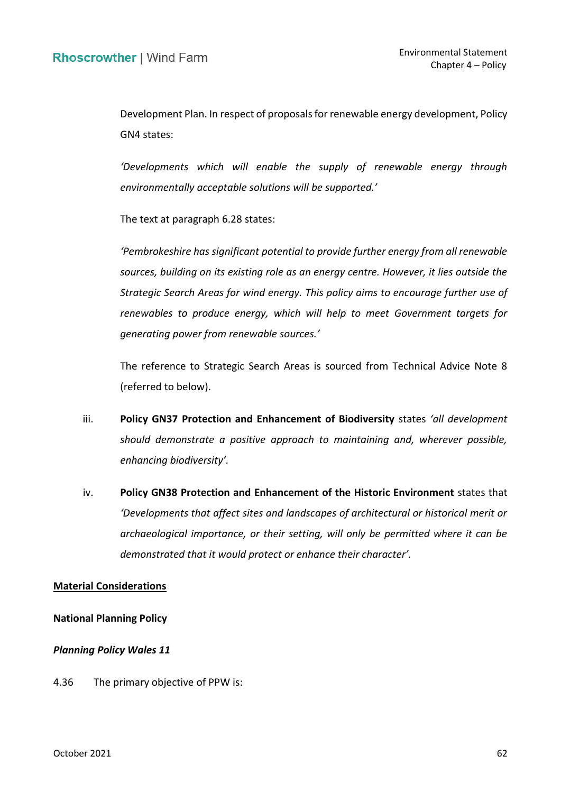Development Plan. In respect of proposals for renewable energy development, Policy GN4 states:

 *'Developments which will enable the supply of renewable energy through environmentally acceptable solutions will be supported.'*

The text at paragraph 6.28 states:

 *'Pembrokeshire has significant potential to provide further energy from all renewable sources, building on its existing role as an energy centre. However, it lies outside the Strategic Search Areas for wind energy. This policy aims to encourage further use of renewables to produce energy, which will help to meet Government targets for generating power from renewable sources.'*

 The reference to Strategic Search Areas is sourced from Technical Advice Note 8 (referred to below).

- iii. **Policy GN37 Protection and Enhancement of Biodiversity** states *'all development should demonstrate a positive approach to maintaining and, wherever possible, enhancing biodiversity'.*
- iv. **Policy GN38 Protection and Enhancement of the Historic Environment** states that  *'Developments that affect sites and landscapes of architectural or historical merit or archaeological importance, or their setting, will only be permitted where it can be demonstrated that it would protect or enhance their character'.*

### **Material Considerations**

#### **National Planning Policy**

#### *Planning Policy Wales 11*

4.36 The primary objective of PPW is: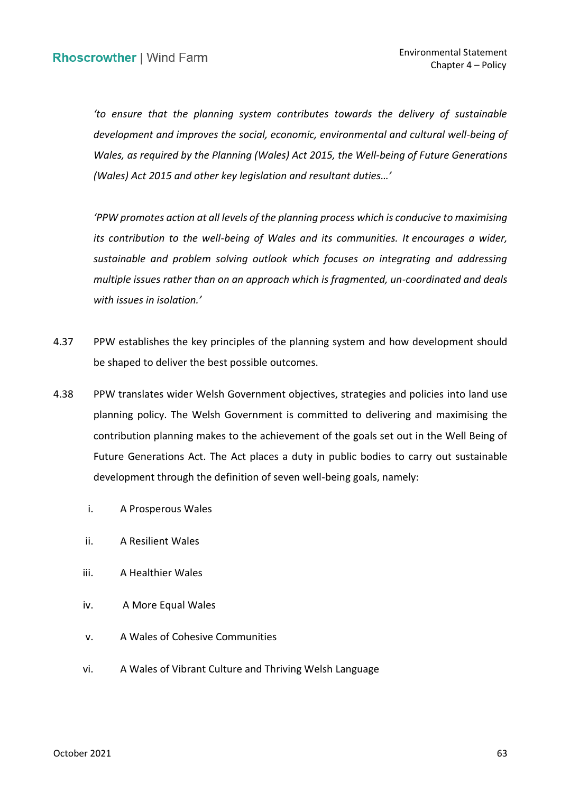*'to ensure that the planning system contributes towards the delivery of sustainable*  development and improves the social, economic, environmental and cultural well-being of  *Wales, as required by the Planning (Wales) Act 2015, the Well-being of Future Generations (Wales) Act 2015 and other key legislation and resultant duties…'*

 *'PPW promotes action at all levels of the planning process which is conducive to maximising its contribution to the well-being of Wales and its communities. It encourages a wider, sustainable and problem solving outlook which focuses on integrating and addressing multiple issues rather than on an approach which is fragmented, un-coordinated and deals with issues in isolation.'*

- 4.37 PPW establishes the key principles of the planning system and how development should be shaped to deliver the best possible outcomes.
- 4.38 PPW translates wider Welsh Government objectives, strategies and policies into land use contribution planning makes to the achievement of the goals set out in the Well Being of Future Generations Act. The Act places a duty in public bodies to carry out sustainable development through the definition of seven well-being goals, namely: planning policy. The Welsh Government is committed to delivering and maximising the
	- i. A Prosperous Wales
	- ii. A Resilient Wales
	- iii. A Healthier Wales
	- iv. A More Equal Wales
	- v. A Wales of Cohesive Communities
	- vi. A Wales of Vibrant Culture and Thriving Welsh Language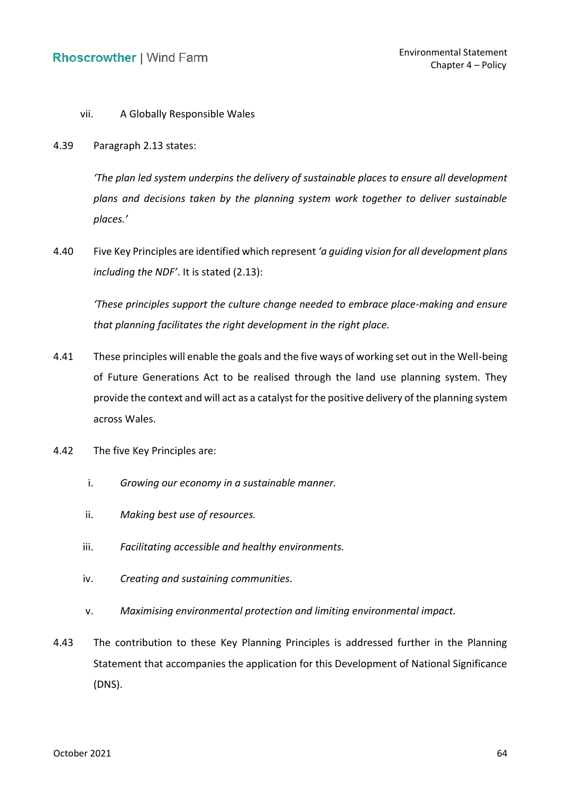# vii. A Globally Responsible Wales

4.39 Paragraph 2.13 states:

 *'The plan led system underpins the delivery of sustainable places to ensure all development plans and decisions taken by the planning system work together to deliver sustainable places.'*

 4.40 Five Key Principles are identified which represent *'a guiding vision for all development plans including the NDF'*. It is stated (2.13):

 *'These principles support the culture change needed to embrace place-making and ensure that planning facilitates the right development in the right place.* 

- 4.41 These principles will enable the goals and the five ways of working set out in the Well-being of Future Generations Act to be realised through the land use planning system. They provide the context and will act as a catalyst for the positive delivery of the planning system across Wales.
- 4.42 The five Key Principles are:
	- i. *Growing our economy in a sustainable manner.*
	- ii. *Making best use of resources.*
	- iii. *Facilitating accessible and healthy environments.*
	- iv. *Creating and sustaining communities.*
	- v. *Maximising environmental protection and limiting environmental impact.*
- 4.43 The contribution to these Key Planning Principles is addressed further in the Planning Statement that accompanies the application for this Development of National Significance (DNS).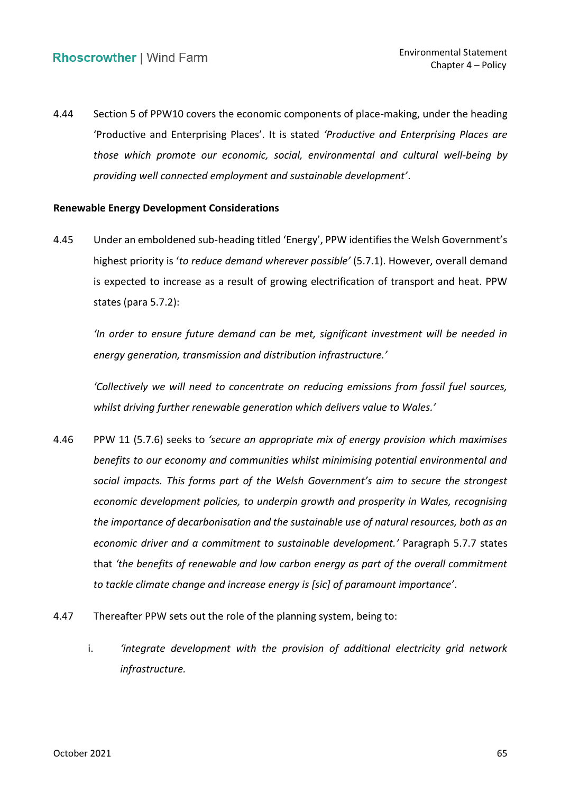4.44 Section 5 of PPW10 covers the economic components of place-making, under the heading 'Productive and Enterprising Places'. It is stated *'Productive and Enterprising Places are those which promote our economic, social, environmental and cultural well-being by providing well connected employment and sustainable development'*.

# **Renewable Energy Development Considerations**

 4.45 Under an emboldened sub-heading titled 'Energy', PPW identifies the Welsh Government's is expected to increase as a result of growing electrification of transport and heat. PPW highest priority is '*to reduce demand wherever possible'* (5.7.1). However, overall demand states (para 5.7.2):

 *'In order to ensure future demand can be met, significant investment will be needed in energy generation, transmission and distribution infrastructure.'*

 *'Collectively we will need to concentrate on reducing emissions from fossil fuel sources, whilst driving further renewable generation which delivers value to Wales.'*

- 4.46 PPW 11 (5.7.6) seeks to *'secure an appropriate mix of energy provision which maximises benefits to our economy and communities whilst minimising potential environmental and social impacts. This forms part of the Welsh Government's aim to secure the strongest economic development policies, to underpin growth and prosperity in Wales, recognising the importance of decarbonisation and the sustainable use of natural resources, both as an economic driver and a commitment to sustainable development.'* Paragraph 5.7.7 states  that *'the benefits of renewable and low carbon energy as part of the overall commitment to tackle climate change and increase energy is [sic] of paramount importance'*.
- 4.47 Thereafter PPW sets out the role of the planning system, being to:
	- i. *'integrate development with the provision of additional electricity grid network infrastructure.*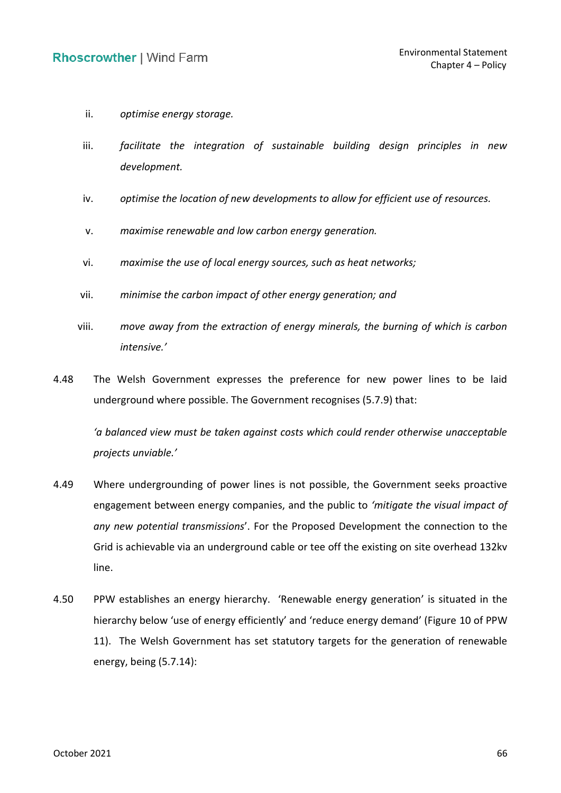- ii. *optimise energy storage.*
- iii. facilitate the integration of sustainable building design principles in new *development.*
- iv. *optimise the location of new developments to allow for efficient use of resources.*
- v. *maximise renewable and low carbon energy generation.*
- vi. *maximise the use of local energy sources, such as heat networks;*
- vii. *minimise the carbon impact of other energy generation; and*
- viii. *move away from the extraction of energy minerals, the burning of which is carbon intensive.'*
- 4.48 The Welsh Government expresses the preference for new power lines to be laid underground where possible. The Government recognises (5.7.9) that:

 *'a balanced view must be taken against costs which could render otherwise unacceptable projects unviable.'*

- 4.49 Where undergrounding of power lines is not possible, the Government seeks proactive engagement between energy companies, and the public to *'mitigate the visual impact of any new potential transmissions*'. For the Proposed Development the connection to the Grid is achievable via an underground cable or tee off the existing on site overhead 132kv line.
- 4.50 PPW establishes an energy hierarchy. 'Renewable energy generation' is situated in the hierarchy below 'use of energy efficiently' and 'reduce energy demand' (Figure 10 of PPW 11). The Welsh Government has set statutory targets for the generation of renewable energy, being (5.7.14):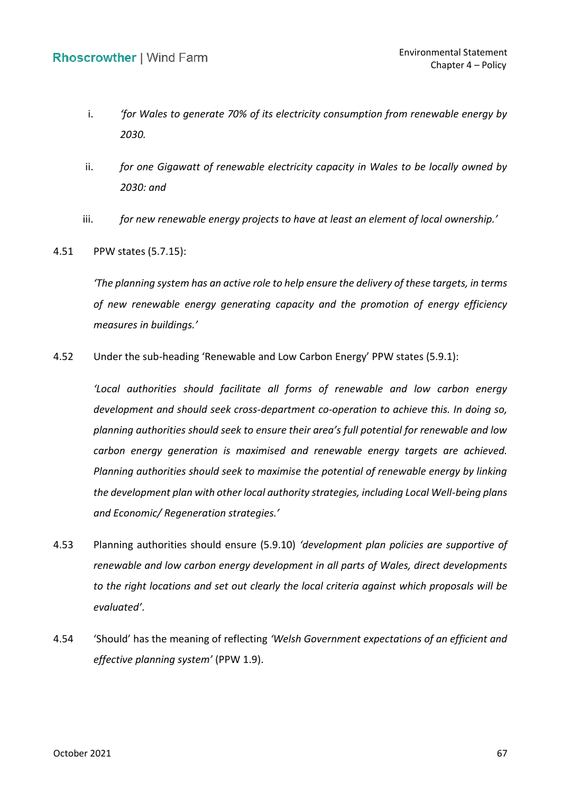- i. *'for Wales to generate 70% of its electricity consumption from renewable energy by 2030.*
- ii. *for one Gigawatt of renewable electricity capacity in Wales to be locally owned by 2030: and*
- iii. *for new renewable energy projects to have at least an element of local ownership.'*
- 4.51 PPW states (5.7.15):

 *'The planning system has an active role to help ensure the delivery of these targets, in terms of new renewable energy generating capacity and the promotion of energy efficiency measures in buildings.'*

4.52 Under the sub-heading 'Renewable and Low Carbon Energy' PPW states (5.9.1):

 *'Local authorities should facilitate all forms of renewable and low carbon energy development and should seek cross-department co-operation to achieve this. In doing so, planning authorities should seek to ensure their area's full potential for renewable and low carbon energy generation is maximised and renewable energy targets are achieved. Planning authorities should seek to maximise the potential of renewable energy by linking the development plan with other local authority strategies, including Local Well-being plans and Economic/ Regeneration strategies.'*

- 4.53 Planning authorities should ensure (5.9.10) *'development plan policies are supportive of renewable and low carbon energy development in all parts of Wales, direct developments to the right locations and set out clearly the local criteria against which proposals will be evaluated'*.
- 4.54 'Should' has the meaning of reflecting *'Welsh Government expectations of an efficient and effective planning system'* (PPW 1.9).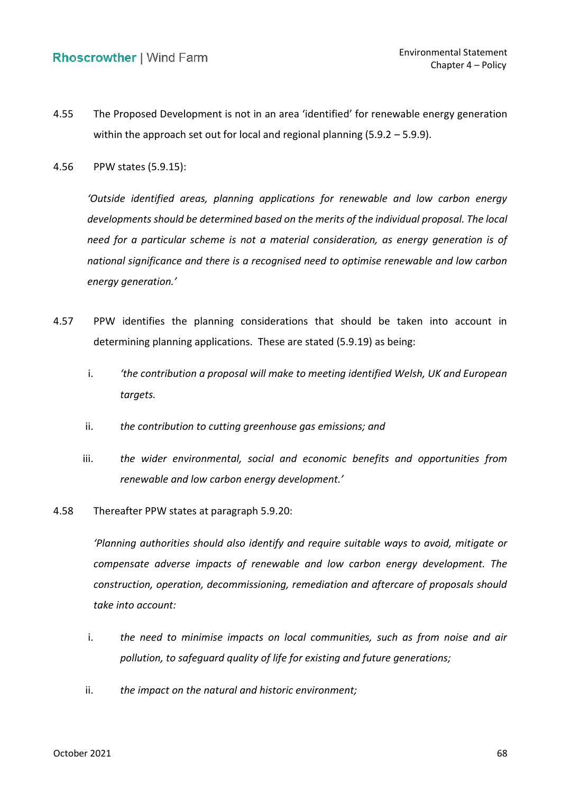- 4.55 The Proposed Development is not in an area 'identified' for renewable energy generation within the approach set out for local and regional planning (5.9.2 – 5.9.9).
- 4.56 PPW states (5.9.15):

 *'Outside identified areas, planning applications for renewable and low carbon energy need for a particular scheme is not a material consideration, as energy generation is of national significance and there is a recognised need to optimise renewable and low carbon developments should be determined based on the merits of the individual proposal. The local energy generation.'*

- 4.57 PPW identifies the planning considerations that should be taken into account in determining planning applications. These are stated (5.9.19) as being:
	- i. *'the contribution a proposal will make to meeting identified Welsh, UK and European targets.*
	- ii. *the contribution to cutting greenhouse gas emissions; and*
	- iii. **the wider environmental, social and economic benefits and opportunities from**  *renewable and low carbon energy development.'*
- 4.58 Thereafter PPW states at paragraph 5.9.20:

 *'Planning authorities should also identify and require suitable ways to avoid, mitigate or*  compensate adverse impacts of renewable and low carbon energy development. The  *construction, operation, decommissioning, remediation and aftercare of proposals should take into account:* 

- i. **the need to minimise impacts on local communities, such as from noise and air**  *pollution, to safeguard quality of life for existing and future generations;*
- ii. *the impact on the natural and historic environment;*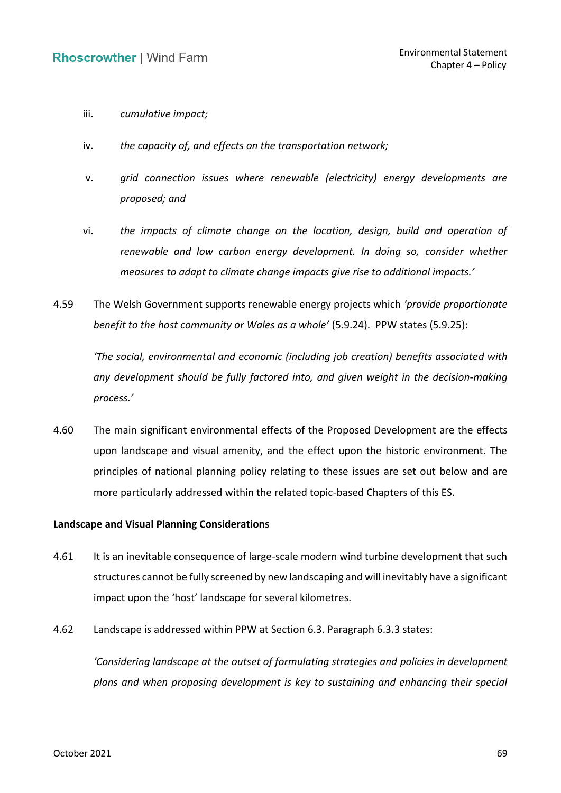- iii. *cumulative impact;*
- iv. *the capacity of, and effects on the transportation network;*
- v. *grid connection issues where renewable (electricity) energy developments are proposed; and*
- vi. *the impacts of climate change on the location, design, build and operation of*  renewable and low carbon energy development. In doing so, consider whether  *measures to adapt to climate change impacts give rise to additional impacts.'*
- 4.59 The Welsh Government supports renewable energy projects which *'provide proportionate benefit to the host community or Wales as a whole'* (5.9.24). PPW states (5.9.25):

 *'The social, environmental and economic (including job creation) benefits associated with any development should be fully factored into, and given weight in the decision-making process.'*

 4.60 The main significant environmental effects of the Proposed Development are the effects upon landscape and visual amenity, and the effect upon the historic environment. The principles of national planning policy relating to these issues are set out below and are more particularly addressed within the related topic-based Chapters of this ES.

### **Landscape and Visual Planning Considerations**

- 4.61 It is an inevitable consequence of large-scale modern wind turbine development that such structures cannot be fully screened by new landscaping and will inevitably have a significant impact upon the 'host' landscape for several kilometres.
- 4.62 Landscape is addressed within PPW at Section 6.3. Paragraph 6.3.3 states:

 *'Considering landscape at the outset of formulating strategies and policies in development plans and when proposing development is key to sustaining and enhancing their special*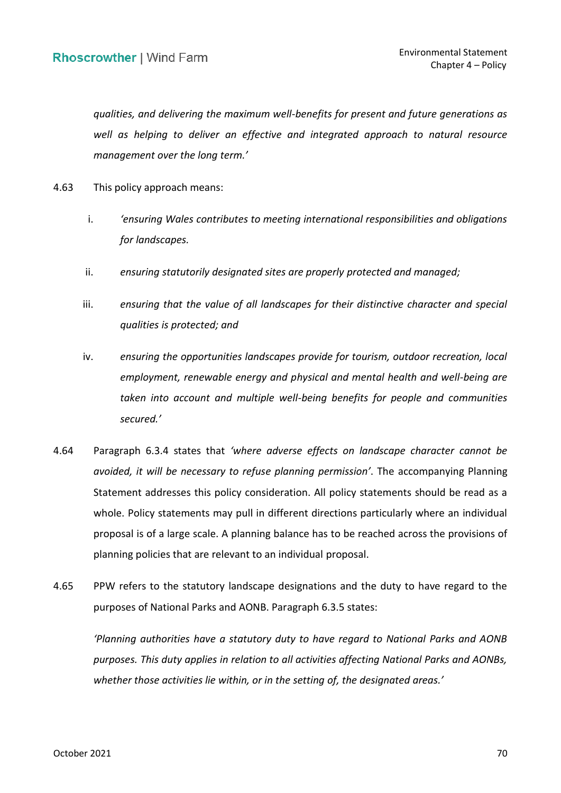*qualities, and delivering the maximum well-benefits for present and future generations as*  well as helping to deliver an effective and integrated approach to natural resource *management over the long term.'*

- 4.63 This policy approach means:
	- i. *'ensuring Wales contributes to meeting international responsibilities and obligations for landscapes.*
	- ii. *ensuring statutorily designated sites are properly protected and managed;*
	- iii. *ensuring that the value of all landscapes for their distinctive character and special qualities is protected; and*
	- *employment, renewable energy and physical and mental health and well-being are*  taken into account and multiple well-being benefits for people and communities iv. *ensuring the opportunities landscapes provide for tourism, outdoor recreation, local secured.'*
- 4.64 Paragraph 6.3.4 states that *'where adverse effects on landscape character cannot be avoided, it will be necessary to refuse planning permission'*. The accompanying Planning Statement addresses this policy consideration. All policy statements should be read as a whole. Policy statements may pull in different directions particularly where an individual proposal is of a large scale. A planning balance has to be reached across the provisions of planning policies that are relevant to an individual proposal.
- 4.65 PPW refers to the statutory landscape designations and the duty to have regard to the purposes of National Parks and AONB. Paragraph 6.3.5 states:

 *'Planning authorities have a statutory duty to have regard to National Parks and AONB purposes. This duty applies in relation to all activities affecting National Parks and AONBs, whether those activities lie within, or in the setting of, the designated areas.'*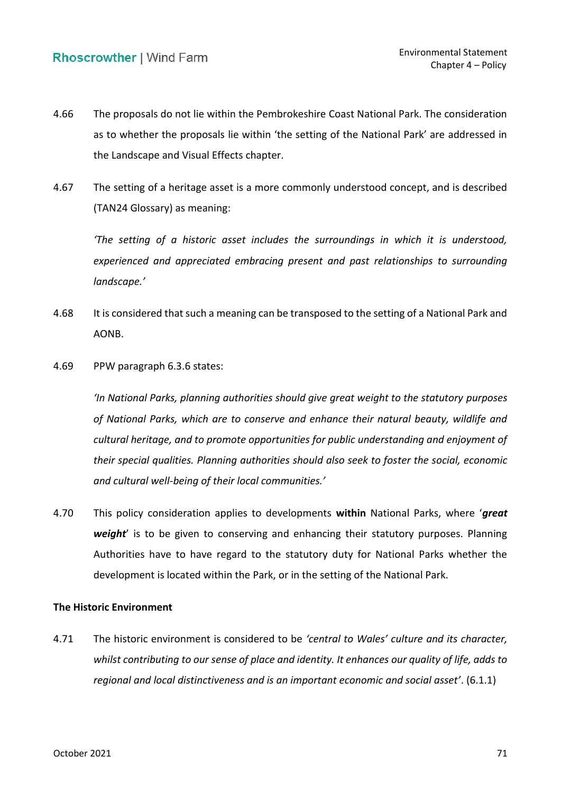- 4.66 The proposals do not lie within the Pembrokeshire Coast National Park. The consideration as to whether the proposals lie within 'the setting of the National Park' are addressed in the Landscape and Visual Effects chapter.
- 4.67 The setting of a heritage asset is a more commonly understood concept, and is described (TAN24 Glossary) as meaning:

 *'The setting of a historic asset includes the surroundings in which it is understood,*  experienced and appreciated embracing present and past relationships to surrounding *landscape.'*

- 4.68 It is considered that such a meaning can be transposed to the setting of a National Park and AONB.
- 4.69 PPW paragraph 6.3.6 states:

 *'In National Parks, planning authorities should give great weight to the statutory purposes of National Parks, which are to conserve and enhance their natural beauty, wildlife and cultural heritage, and to promote opportunities for public understanding and enjoyment of their special qualities. Planning authorities should also seek to foster the social, economic and cultural well-being of their local communities.'*

 4.70 This policy consideration applies to developments **within** National Parks, where '*great weight*' is to be given to conserving and enhancing their statutory purposes. Planning Authorities have to have regard to the statutory duty for National Parks whether the development is located within the Park, or in the setting of the National Park.

### **The Historic Environment**

 4.71 The historic environment is considered to be *'central to Wales' culture and its character, whilst contributing to our sense of place and identity. It enhances our quality of life, adds to regional and local distinctiveness and is an important economic and social asset'*. (6.1.1)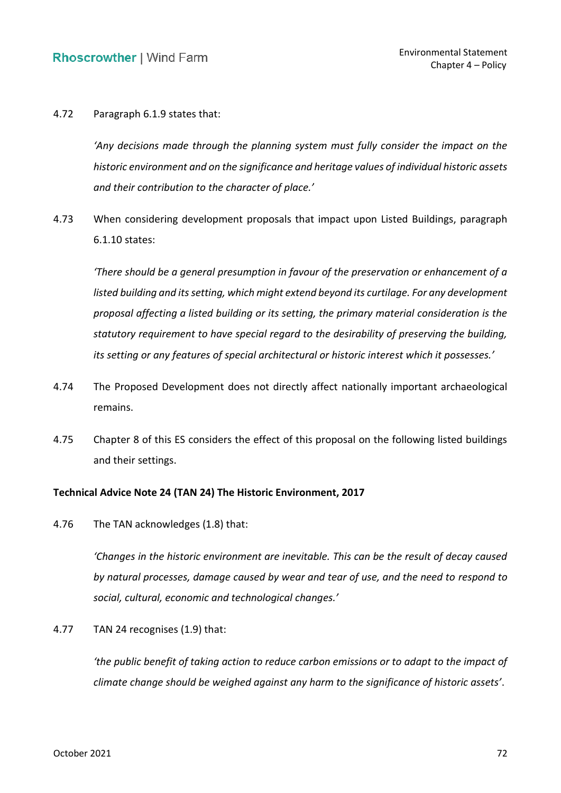4.72 Paragraph 6.1.9 states that:

 *'Any decisions made through the planning system must fully consider the impact on the historic environment and on the significance and heritage values of individual historic assets and their contribution to the character of place.'*

 4.73 When considering development proposals that impact upon Listed Buildings, paragraph 6.1.10 states:

 *'There should be a general presumption in favour of the preservation or enhancement of a listed building and its setting, which might extend beyond its curtilage. For any development proposal affecting a listed building or its setting, the primary material consideration is the statutory requirement to have special regard to the desirability of preserving the building, its setting or any features of special architectural or historic interest which it possesses.'*

- 4.74 The Proposed Development does not directly affect nationally important archaeological remains.
- 4.75 Chapter 8 of this ES considers the effect of this proposal on the following listed buildings and their settings.

### **Technical Advice Note 24 (TAN 24) The Historic Environment, 2017**

4.76 The TAN acknowledges (1.8) that:

 *'Changes in the historic environment are inevitable. This can be the result of decay caused by natural processes, damage caused by wear and tear of use, and the need to respond to social, cultural, economic and technological changes.'*

4.77 TAN 24 recognises (1.9) that:

 *'the public benefit of taking action to reduce carbon emissions or to adapt to the impact of climate change should be weighed against any harm to the significance of historic assets'*.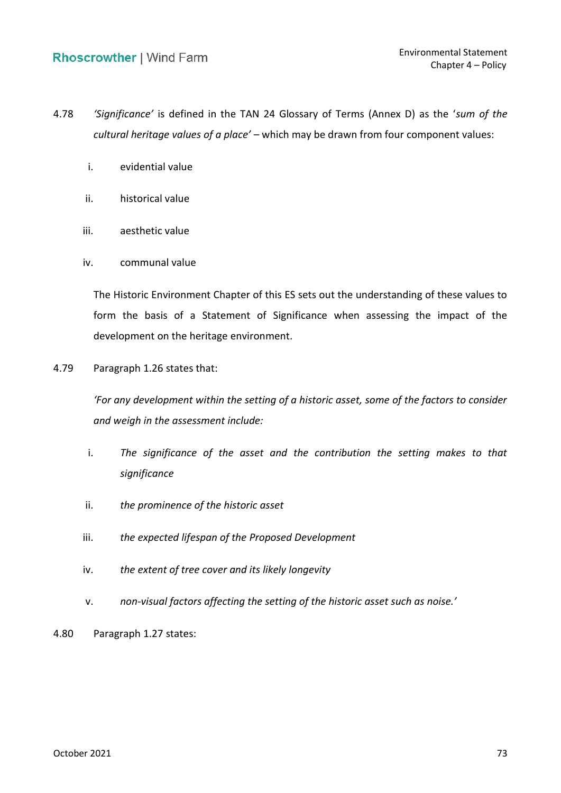- 4.78 *'Significance'* is defined in the TAN 24 Glossary of Terms (Annex D) as the '*sum of the cultural heritage values of a place'* – which may be drawn from four component values:
	- i. evidential value
	- ii. historical value
	- iii. aesthetic value
	- iv. communal value

 The Historic Environment Chapter of this ES sets out the understanding of these values to form the basis of a Statement of Significance when assessing the impact of the development on the heritage environment.

4.79 Paragraph 1.26 states that:

 *'For any development within the setting of a historic asset, some of the factors to consider and weigh in the assessment include:* 

- i. The significance of the asset and the contribution the setting makes to that *significance*
- ii. *the prominence of the historic asset*
- iii. *the expected lifespan of the Proposed Development*
- iv. *the extent of tree cover and its likely longevity*
- v. *non-visual factors affecting the setting of the historic asset such as noise.'*
- 4.80 Paragraph 1.27 states: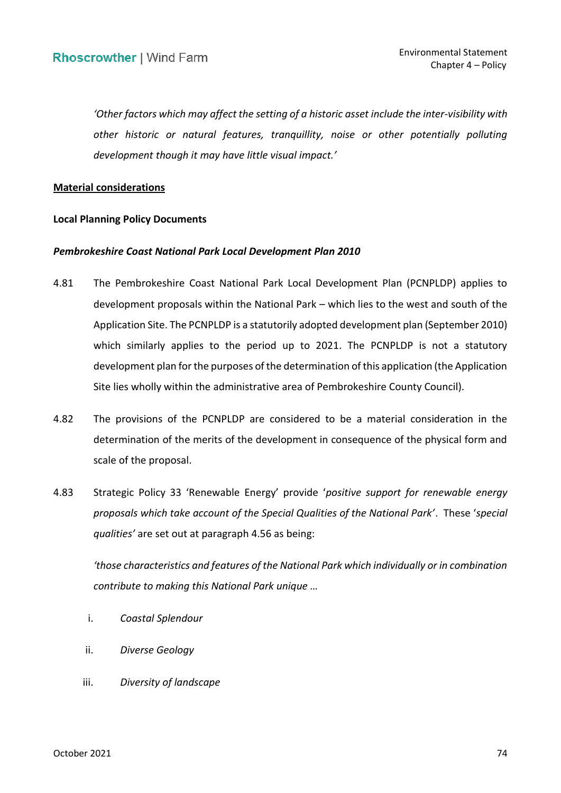*'Other factors which may affect the setting of a historic asset include the inter-visibility with*  other historic or natural features, tranquillity, noise or other potentially polluting  *development though it may have little visual impact.'*

### **Material considerations**

## **Local Planning Policy Documents**

# *Pembrokeshire Coast National Park Local Development Plan 2010*

- 4.81 The Pembrokeshire Coast National Park Local Development Plan (PCNPLDP) applies to development proposals within the National Park – which lies to the west and south of the Application Site. The PCNPLDP is a statutorily adopted development plan (September 2010) which similarly applies to the period up to 2021. The PCNPLDP is not a statutory development plan for the purposes of the determination of this application (the Application Site lies wholly within the administrative area of Pembrokeshire County Council).
- 4.82 The provisions of the PCNPLDP are considered to be a material consideration in the determination of the merits of the development in consequence of the physical form and scale of the proposal.
- 4.83 Strategic Policy 33 'Renewable Energy' provide '*positive support for renewable energy proposals which take account of the Special Qualities of the National Park'*. These '*special qualities'* are set out at paragraph 4.56 as being:

 *'those characteristics and features of the National Park which individually or in combination contribute to making this National Park unique …*

- i. *Coastal Splendour*
- ii. *Diverse Geology*
- iii. *Diversity of landscape*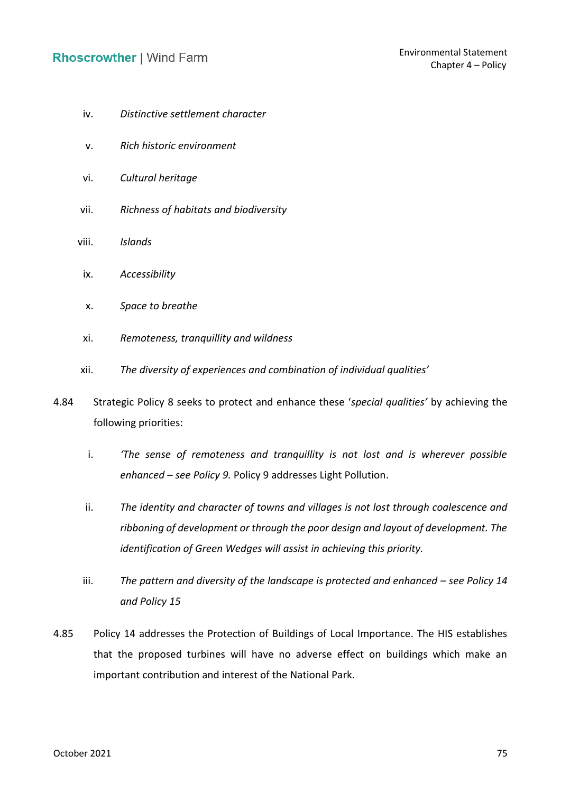- iv. *Distinctive settlement character*
- v. *Rich historic environment*
- vi. *Cultural heritage*
- vii. *Richness of habitats and biodiversity*
- viii. *Islands* 
	- ix. *Accessibility*
	- x. *Space to breathe*
	- xi. *Remoteness, tranquillity and wildness*
- xii. *The diversity of experiences and combination of individual qualities'*
- 4.84 Strategic Policy 8 seeks to protect and enhance these '*special qualities'* by achieving the following priorities:
	- i. *'The sense of remoteness and tranquillity is not lost and is wherever possible enhanced – see Policy 9.* Policy 9 addresses Light Pollution.
	- ii. The identity and character of towns and villages is not lost through coalescence and  *ribboning of development or through the poor design and layout of development. The identification of Green Wedges will assist in achieving this priority.*
	- iii. The pattern and diversity of the landscape is protected and enhanced see Policy 14  *and Policy 15*
- 4.85 Policy 14 addresses the Protection of Buildings of Local Importance. The HIS establishes that the proposed turbines will have no adverse effect on buildings which make an important contribution and interest of the National Park.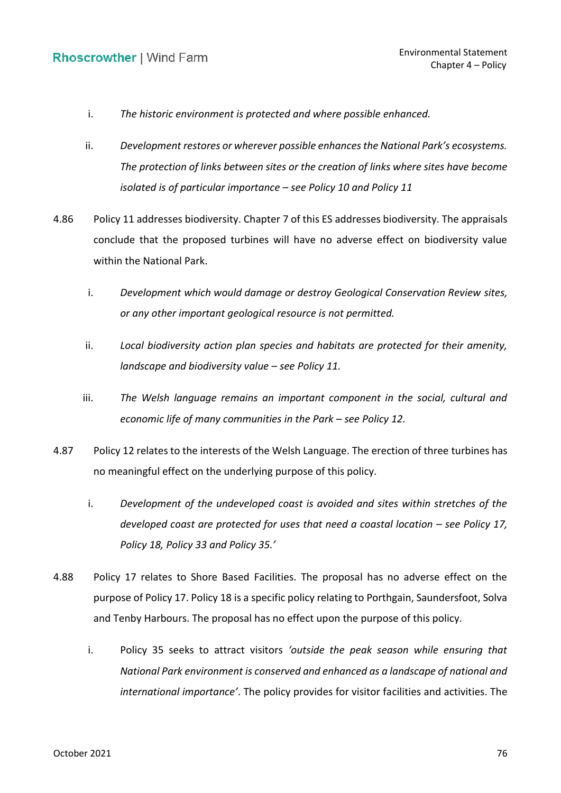- i. *The historic environment is protected and where possible enhanced.*
- *The protection of links between sites or the creation of links where sites have become isolated is of particular importance – see Policy 10 and Policy 11*  ii. *Development restores or wherever possible enhancesthe National Park's ecosystems.*
- 4.86 Policy 11 addresses biodiversity. Chapter 7 of this ES addresses biodiversity. The appraisals conclude that the proposed turbines will have no adverse effect on biodiversity value within the National Park.
	- i. *Development which would damage or destroy Geological Conservation Review sites, or any other important geological resource is not permitted.*
	- ii. *Local biodiversity action plan species and habitats are protected for their amenity, landscape and biodiversity value – see Policy 11.*
	- iii. The Welsh language remains an important component in the social, cultural and  *economic life of many communities in the Park – see Policy 12.*
- 4.87 Policy 12 relates to the interests of the Welsh Language. The erection of three turbines has no meaningful effect on the underlying purpose of this policy.
	- i. *Development of the undeveloped coast is avoided and sites within stretches of the*  developed coast are protected for uses that need a coastal location – see Policy 17,  *Policy 18, Policy 33 and Policy 35.'*
- 4.88 Policy 17 relates to Shore Based Facilities. The proposal has no adverse effect on the purpose of Policy 17. Policy 18 is a specific policy relating to Porthgain, Saundersfoot, Solva and Tenby Harbours. The proposal has no effect upon the purpose of this policy.
	- i. Policy 35 seeks to attract visitors *'outside the peak season while ensuring that National Park environment is conserved and enhanced as a landscape of national and international importance'*. The policy provides for visitor facilities and activities. The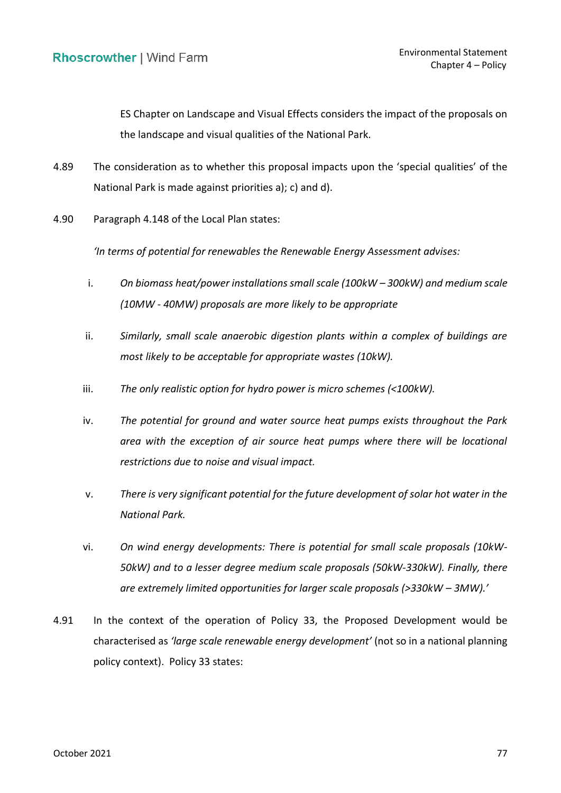ES Chapter on Landscape and Visual Effects considers the impact of the proposals on the landscape and visual qualities of the National Park.

- 4.89 The consideration as to whether this proposal impacts upon the 'special qualities' of the National Park is made against priorities a); c) and d).
- 4.90 Paragraph 4.148 of the Local Plan states:

 *'In terms of potential for renewables the Renewable Energy Assessment advises:*

- i. *On biomass heat/power installations small scale (100kW – 300kW) and medium scale (10MW - 40MW) proposals are more likely to be appropriate*
- ii. *Similarly, small scale anaerobic digestion plants within a complex of buildings are most likely to be acceptable for appropriate wastes (10kW).*
- iii. *The only realistic option for hydro power is micro schemes (<100kW).*
- iv. *The potential for ground and water source heat pumps exists throughout the Park*  area with the exception of air source heat pumps where there will be locational  *restrictions due to noise and visual impact.*
- v. *There is very significant potential for the future development of solar hot water in the National Park.*
- vi. *On wind energy developments: There is potential for small scale proposals (10kW- 50kW) and to a lesser degree medium scale proposals (50kW-330kW). Finally, there are extremely limited opportunities for larger scale proposals (>330kW – 3MW).'*
- 4.91 In the context of the operation of Policy 33, the Proposed Development would be characterised as *'large scale renewable energy development'* (not so in a national planning policy context). Policy 33 states: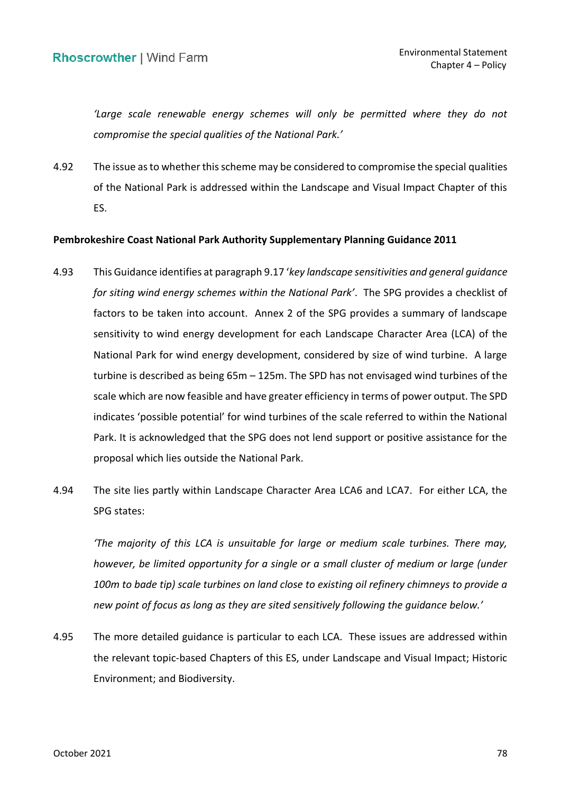*'Large scale renewable energy schemes will only be permitted where they do not compromise the special qualities of the National Park.'*

 of the National Park is addressed within the Landscape and Visual Impact Chapter of this 4.92 The issue as to whether this scheme may be considered to compromise the special qualities ES.

# **Pembrokeshire Coast National Park Authority Supplementary Planning Guidance 2011**

- 4.93 This Guidance identifies at paragraph 9.17 '*key landscape sensitivities and general guidance for siting wind energy schemes within the National Park'*. The SPG provides a checklist of factors to be taken into account. Annex 2 of the SPG provides a summary of landscape sensitivity to wind energy development for each Landscape Character Area (LCA) of the National Park for wind energy development, considered by size of wind turbine. A large turbine is described as being 65m – 125m. The SPD has not envisaged wind turbines of the scale which are now feasible and have greater efficiency in terms of power output. The SPD indicates 'possible potential' for wind turbines of the scale referred to within the National Park. It is acknowledged that the SPG does not lend support or positive assistance for the proposal which lies outside the National Park.
- 4.94 The site lies partly within Landscape Character Area LCA6 and LCA7. For either LCA, the SPG states:

 *'The majority of this LCA is unsuitable for large or medium scale turbines. There may, however, be limited opportunity for a single or a small cluster of medium or large (under 100m to bade tip) scale turbines on land close to existing oil refinery chimneys to provide a new point of focus as long as they are sited sensitively following the guidance below.'*

 4.95 The more detailed guidance is particular to each LCA. These issues are addressed within the relevant topic-based Chapters of this ES, under Landscape and Visual Impact; Historic Environment; and Biodiversity.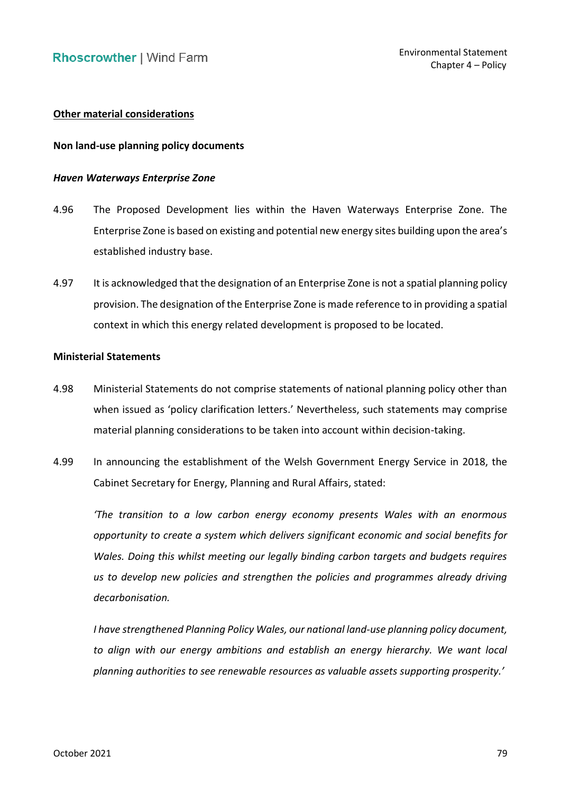# **Other material considerations**

#### **Non land-use planning policy documents**

#### *Haven Waterways Enterprise Zone*

- 4.96 The Proposed Development lies within the Haven Waterways Enterprise Zone. The Enterprise Zone is based on existing and potential new energy sites building upon the area's established industry base.
- 4.97 It is acknowledged that the designation of an Enterprise Zone is not a spatial planning policy provision. The designation of the Enterprise Zone is made reference to in providing a spatial context in which this energy related development is proposed to be located.

#### **Ministerial Statements**

- 4.98 Ministerial Statements do not comprise statements of national planning policy other than when issued as 'policy clarification letters.' Nevertheless, such statements may comprise material planning considerations to be taken into account within decision-taking.
- 4.99 In announcing the establishment of the Welsh Government Energy Service in 2018, the Cabinet Secretary for Energy, Planning and Rural Affairs, stated:

 *'The transition to a low carbon energy economy presents Wales with an enormous opportunity to create a system which delivers significant economic and social benefits for Wales. Doing this whilst meeting our legally binding carbon targets and budgets requires*  us to develop new policies and strengthen the policies and programmes already driving *decarbonisation.* 

 *I have strengthened Planning Policy Wales, our national land-use planning policy document,*  to align with our energy ambitions and establish an energy hierarchy. We want local  *planning authorities to see renewable resources as valuable assets supporting prosperity.'*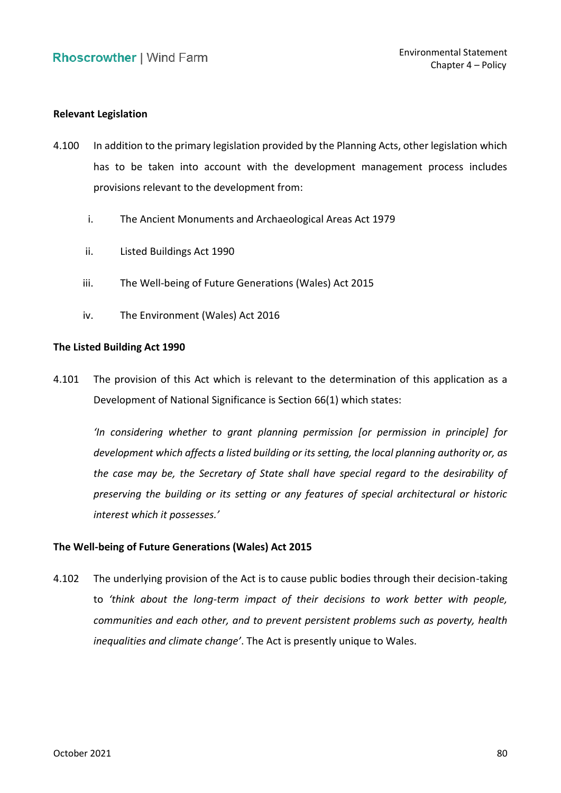### **Relevant Legislation**

- 4.100 In addition to the primary legislation provided by the Planning Acts, other legislation which has to be taken into account with the development management process includes provisions relevant to the development from:
	- i. The Ancient Monuments and Archaeological Areas Act 1979
	- ii. Listed Buildings Act 1990
	- iii. The Well-being of Future Generations (Wales) Act 2015
	- iv. The Environment (Wales) Act 2016

# **The Listed Building Act 1990**

 4.101 The provision of this Act which is relevant to the determination of this application as a Development of National Significance is Section 66(1) which states:

 *'In considering whether to grant planning permission [or permission in principle] for development which affects a listed building or its setting, the local planning authority or, as the case may be, the Secretary of State shall have special regard to the desirability of preserving the building or its setting or any features of special architectural or historic interest which it possesses.'*

#### **The Well-being of Future Generations (Wales) Act 2015**

 4.102 The underlying provision of the Act is to cause public bodies through their decision-taking  to *'think about the long-term impact of their decisions to work better with people, communities and each other, and to prevent persistent problems such as poverty, health inequalities and climate change'*. The Act is presently unique to Wales.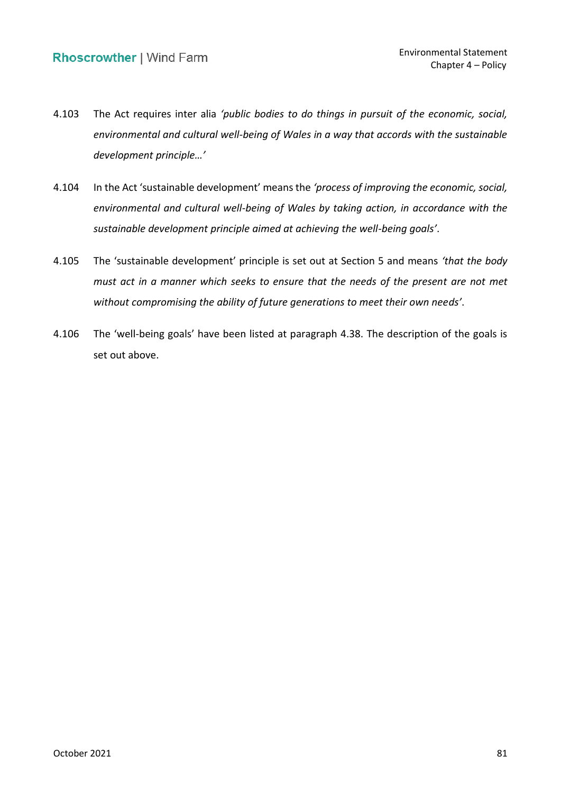- 4.103 The Act requires inter alia *'public bodies to do things in pursuit of the economic, social, environmental and cultural well-being of Wales in a way that accords with the sustainable development principle…'*
- 4.104 In the Act 'sustainable development' means the *'process of improving the economic, social, environmental and cultural well-being of Wales by taking action, in accordance with the sustainable development principle aimed at achieving the well-being goals'*.
- 4.105 The 'sustainable development' principle is set out at Section 5 and means *'that the body must act in a manner which seeks to ensure that the needs of the present are not met without compromising the ability of future generations to meet their own needs'*.
- 4.106 The 'well-being goals' have been listed at paragraph 4.38. The description of the goals is set out above.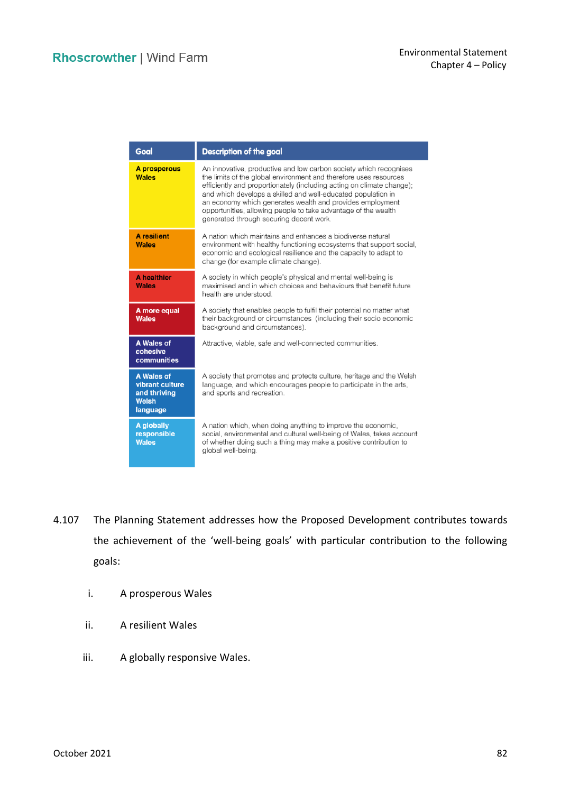| Goal                                                                             | <b>Description of the goal</b>                                                                                                                                                                                                                                                                                                                                                                                                                            |
|----------------------------------------------------------------------------------|-----------------------------------------------------------------------------------------------------------------------------------------------------------------------------------------------------------------------------------------------------------------------------------------------------------------------------------------------------------------------------------------------------------------------------------------------------------|
| A prosperous<br><b>Wales</b>                                                     | An innovative, productive and low carbon society which recognises<br>the limits of the global environment and therefore uses resources<br>efficiently and proportionately (including acting on climate change);<br>and which develops a skilled and well-educated population in<br>an economy which generates wealth and provides employment<br>opportunities, allowing people to take advantage of the wealth<br>generated through securing decent work. |
| <b>A</b> resilient<br><b>Wales</b>                                               | A nation which maintains and enhances a biodiverse natural<br>environment with healthy functioning ecosystems that support social,<br>economic and ecological resilience and the capacity to adapt to<br>change (for example climate change).                                                                                                                                                                                                             |
| <b>A</b> healthier<br><b>Wales</b>                                               | A society in which people's physical and mental well-being is<br>maximised and in which choices and behaviours that benefit future<br>health are understood.                                                                                                                                                                                                                                                                                              |
| A more equal<br><b>Wales</b>                                                     | A society that enables people to fulfil their potential no matter what<br>their background or circumstances (including their socio economic<br>background and circumstances).                                                                                                                                                                                                                                                                             |
| A Wales of<br>cohesive<br>communities                                            | Attractive, viable, safe and well-connected communities.                                                                                                                                                                                                                                                                                                                                                                                                  |
| <b>A Wales of</b><br>vibrant culture<br>and thriving<br><b>Welsh</b><br>language | A society that promotes and protects culture, heritage and the Welsh<br>language, and which encourages people to participate in the arts,<br>and sports and recreation.                                                                                                                                                                                                                                                                                   |
| A globally<br>responsible<br><b>Wales</b>                                        | A nation which, when doing anything to improve the economic,<br>social, environmental and cultural well-being of Wales, takes account<br>of whether doing such a thing may make a positive contribution to<br>global well-being.                                                                                                                                                                                                                          |

- 4.107 The Planning Statement addresses how the Proposed Development contributes towards the achievement of the 'well-being goals' with particular contribution to the following goals:
	- i. A prosperous Wales
	- ii. A resilient Wales
	- iii. A globally responsive Wales.